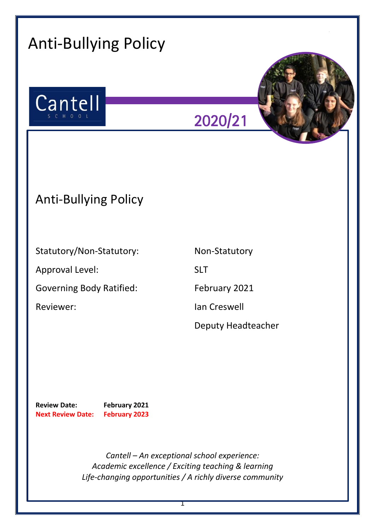| <b>Anti-Bullying Policy</b>                                                                                                                                   |                    |
|---------------------------------------------------------------------------------------------------------------------------------------------------------------|--------------------|
| Cantell<br>S C H O O L                                                                                                                                        | 2020/21            |
| <b>Anti-Bullying Policy</b>                                                                                                                                   |                    |
| Statutory/Non-Statutory:                                                                                                                                      | Non-Statutory      |
| Approval Level:                                                                                                                                               | <b>SLT</b>         |
| <b>Governing Body Ratified:</b>                                                                                                                               | February 2021      |
| Reviewer:                                                                                                                                                     | Ian Creswell       |
|                                                                                                                                                               | Deputy Headteacher |
| <b>Review Date:</b><br>February 2021<br><b>February 2023</b><br><b>Next Review Date:</b>                                                                      |                    |
| Cantell - An exceptional school experience:<br>Academic excellence / Exciting teaching & learning<br>Life-changing opportunities / A richly diverse community |                    |

1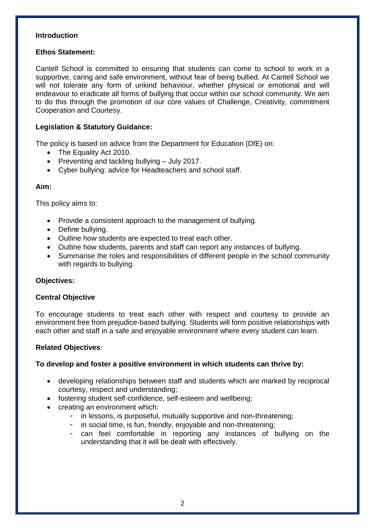### **Introduction**

# **Ethos Statement:**

Cantell School is committed to ensuring that students can come to school to work in a supportive, caring and safe environment, without fear of being bullied. At Cantell School we will not tolerate any form of unkind behaviour, whether physical or emotional and will endeavour to eradicate all forms of bullying that occur within our school community. We aim to do this through the promotion of our core values of Challenge, Creativity, commitment Cooperation and Courtesy.

# **Legislation & Statutory Guidance:**

The policy is based on advice from the Department for Education (DfE) on:

- The Equality Act 2010.
- Preventing and tackling bullying  $-$  July 2017.
- Cyber bullying: advice for Headteachers and school staff.

### **Aim:**

This policy aims to:

- Provide a consistent approach to the management of bullying.
- Define bullying.
- Outline how students are expected to treat each other.
- Outline how students, parents and staff can report any instances of bullying.
- Summarise the roles and responsibilities of different people in the school community with regards to bullying.

# **Objectives:**

# **Central Objective**

To encourage students to treat each other with respect and courtesy to provide an environment free from prejudice-based bullying. Students will form positive relationships with each other and staff in a safe and enjoyable environment where every student can learn.

# **Related Objectives**:

# **To develop and foster a positive environment in which students can thrive by:**

- developing relationships between staff and students which are marked by reciprocal courtesy, respect and understanding;
- fostering student self-confidence, self-esteem and wellbeing;
- creating an environment which:
	- in lessons, is purposeful, mutually supportive and non-threatening;
	- in social time, is fun, friendly, enjoyable and non-threatening;
	- can feel comfortable in reporting any instances of bullying on the understanding that it will be dealt with effectively.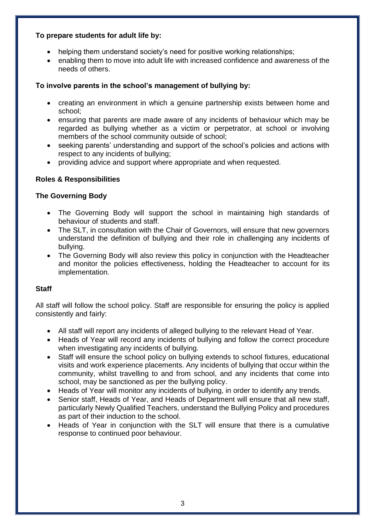# **To prepare students for adult life by:**

- helping them understand society's need for positive working relationships;
- enabling them to move into adult life with increased confidence and awareness of the needs of others.

# **To involve parents in the school's management of bullying by:**

- creating an environment in which a genuine partnership exists between home and school;
- ensuring that parents are made aware of any incidents of behaviour which may be regarded as bullying whether as a victim or perpetrator, at school or involving members of the school community outside of school;
- seeking parents' understanding and support of the school's policies and actions with respect to any incidents of bullying;
- providing advice and support where appropriate and when requested.

# **Roles & Responsibilities**

### **The Governing Body**

- The Governing Body will support the school in maintaining high standards of behaviour of students and staff.
- The SLT, in consultation with the Chair of Governors, will ensure that new governors understand the definition of bullying and their role in challenging any incidents of bullying.
- The Governing Body will also review this policy in conjunction with the Headteacher and monitor the policies effectiveness, holding the Headteacher to account for its implementation.

# **Staff**

All staff will follow the school policy. Staff are responsible for ensuring the policy is applied consistently and fairly:

- All staff will report any incidents of alleged bullying to the relevant Head of Year.
- Heads of Year will record any incidents of bullying and follow the correct procedure when investigating any incidents of bullying.
- Staff will ensure the school policy on bullying extends to school fixtures, educational visits and work experience placements. Any incidents of bullying that occur within the community, whilst travelling to and from school, and any incidents that come into school, may be sanctioned as per the bullying policy.
- Heads of Year will monitor any incidents of bullying, in order to identify any trends.
- Senior staff, Heads of Year, and Heads of Department will ensure that all new staff, particularly Newly Qualified Teachers, understand the Bullying Policy and procedures as part of their induction to the school.
- Heads of Year in conjunction with the SLT will ensure that there is a cumulative response to continued poor behaviour.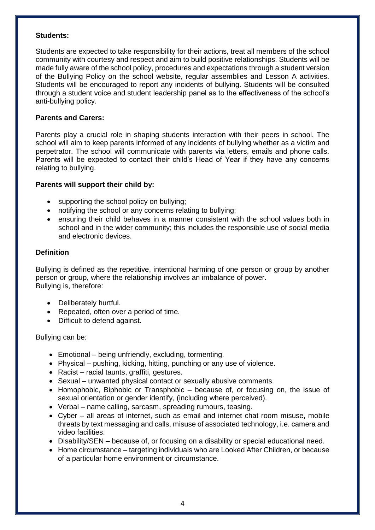#### **Students:**

Students are expected to take responsibility for their actions, treat all members of the school community with courtesy and respect and aim to build positive relationships. Students will be made fully aware of the school policy, procedures and expectations through a student version of the Bullying Policy on the school website, regular assemblies and Lesson A activities. Students will be encouraged to report any incidents of bullying. Students will be consulted through a student voice and student leadership panel as to the effectiveness of the school's anti-bullying policy.

### **Parents and Carers:**

Parents play a crucial role in shaping students interaction with their peers in school. The school will aim to keep parents informed of any incidents of bullying whether as a victim and perpetrator. The school will communicate with parents via letters, emails and phone calls. Parents will be expected to contact their child's Head of Year if they have any concerns relating to bullying.

# **Parents will support their child by:**

- supporting the school policy on bullying;
- notifying the school or any concerns relating to bullying;
- ensuring their child behaves in a manner consistent with the school values both in school and in the wider community; this includes the responsible use of social media and electronic devices.

### **Definition**

Bullying is defined as the repetitive, intentional harming of one person or group by another person or group, where the relationship involves an imbalance of power. Bullying is, therefore:

- Deliberately hurtful.
- Repeated, often over a period of time.
- Difficult to defend against.

Bullying can be:

- Emotional being unfriendly, excluding, tormenting.
- Physical pushing, kicking, hitting, punching or any use of violence.
- Racist racial taunts, graffiti, gestures.
- Sexual unwanted physical contact or sexually abusive comments.
- Homophobic, Biphobic or Transphobic because of, or focusing on, the issue of sexual orientation or gender identify, (including where perceived).
- Verbal name calling, sarcasm, spreading rumours, teasing.
- Cyber all areas of internet, such as email and internet chat room misuse, mobile threats by text messaging and calls, misuse of associated technology, i.e. camera and video facilities.
- Disability/SEN because of, or focusing on a disability or special educational need.
- Home circumstance targeting individuals who are Looked After Children, or because of a particular home environment or circumstance.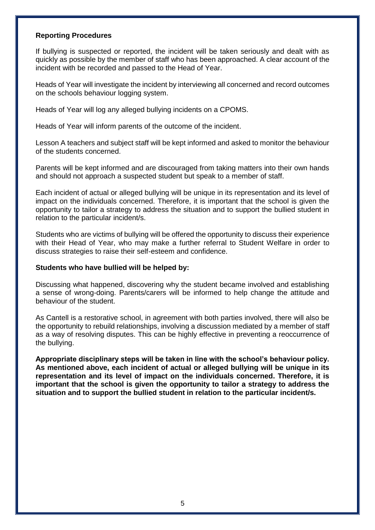#### **Reporting Procedures**

If bullying is suspected or reported, the incident will be taken seriously and dealt with as quickly as possible by the member of staff who has been approached. A clear account of the incident with be recorded and passed to the Head of Year.

Heads of Year will investigate the incident by interviewing all concerned and record outcomes on the schools behaviour logging system.

Heads of Year will log any alleged bullying incidents on a CPOMS.

Heads of Year will inform parents of the outcome of the incident.

Lesson A teachers and subject staff will be kept informed and asked to monitor the behaviour of the students concerned.

Parents will be kept informed and are discouraged from taking matters into their own hands and should not approach a suspected student but speak to a member of staff.

Each incident of actual or alleged bullying will be unique in its representation and its level of impact on the individuals concerned. Therefore, it is important that the school is given the opportunity to tailor a strategy to address the situation and to support the bullied student in relation to the particular incident/s.

Students who are victims of bullying will be offered the opportunity to discuss their experience with their Head of Year, who may make a further referral to Student Welfare in order to discuss strategies to raise their self-esteem and confidence.

#### **Students who have bullied will be helped by:**

Discussing what happened, discovering why the student became involved and establishing a sense of wrong-doing. Parents/carers will be informed to help change the attitude and behaviour of the student.

As Cantell is a restorative school, in agreement with both parties involved, there will also be the opportunity to rebuild relationships, involving a discussion mediated by a member of staff as a way of resolving disputes. This can be highly effective in preventing a reoccurrence of the bullying.

**Appropriate disciplinary steps will be taken in line with the school's behaviour policy. As mentioned above, each incident of actual or alleged bullying will be unique in its representation and its level of impact on the individuals concerned. Therefore, it is important that the school is given the opportunity to tailor a strategy to address the situation and to support the bullied student in relation to the particular incident/s.**